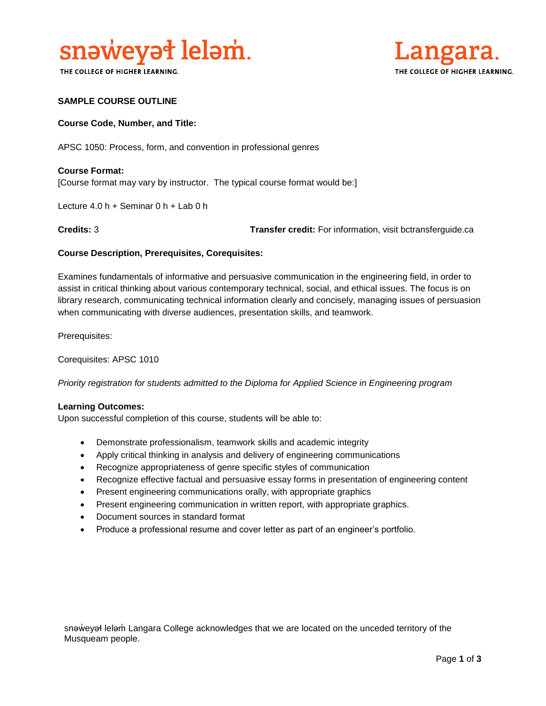

THE COLLEGE OF HIGHER LEARNING.



# **SAMPLE COURSE OUTLINE**

### **Course Code, Number, and Title:**

APSC 1050: Process, form, and convention in professional genres

# **Course Format:** [Course format may vary by instructor. The typical course format would be:]

Lecture 4.0 h + Seminar 0 h + Lab 0 h

**Credits:** 3 **Transfer credit:** For information, visit bctransferguide.ca

#### **Course Description, Prerequisites, Corequisites:**

Examines fundamentals of informative and persuasive communication in the engineering field, in order to assist in critical thinking about various contemporary technical, social, and ethical issues. The focus is on library research, communicating technical information clearly and concisely, managing issues of persuasion when communicating with diverse audiences, presentation skills, and teamwork.

Prerequisites:

Corequisites: APSC 1010

*Priority registration for students admitted to the Diploma for Applied Science in Engineering program*

#### **Learning Outcomes:**

Upon successful completion of this course, students will be able to:

- Demonstrate professionalism, teamwork skills and academic integrity
- Apply critical thinking in analysis and delivery of engineering communications
- Recognize appropriateness of genre specific styles of communication
- Recognize effective factual and persuasive essay forms in presentation of engineering content
- Present engineering communications orally, with appropriate graphics
- Present engineering communication in written report, with appropriate graphics.
- Document sources in standard format
- Produce a professional resume and cover letter as part of an engineer's portfolio.

snəweyał leləm Langara College acknowledges that we are located on the unceded territory of the Musqueam people.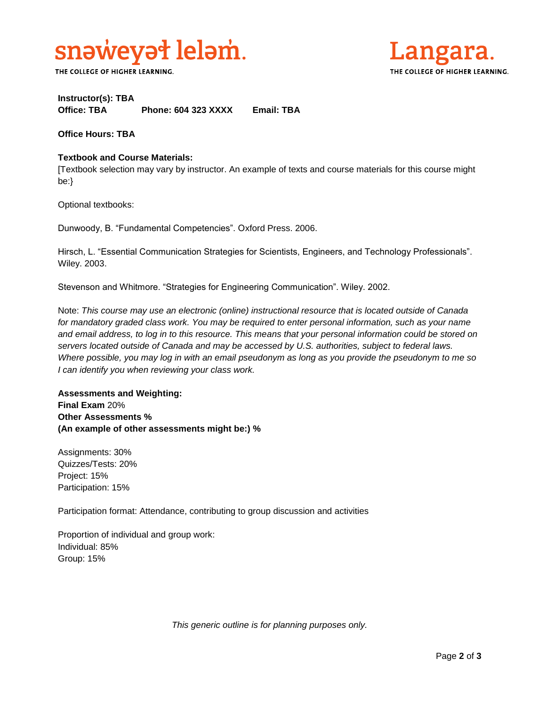

THE COLLEGE OF HIGHER LEARNING.



# **Instructor(s): TBA Office: TBA Phone: 604 323 XXXX Email: TBA**

**Office Hours: TBA** 

# **Textbook and Course Materials:**

[Textbook selection may vary by instructor. An example of texts and course materials for this course might be:}

Optional textbooks:

Dunwoody, B. "Fundamental Competencies". Oxford Press. 2006.

Hirsch, L. "Essential Communication Strategies for Scientists, Engineers, and Technology Professionals". Wiley. 2003.

Stevenson and Whitmore. "Strategies for Engineering Communication". Wiley. 2002.

Note: *This course may use an electronic (online) instructional resource that is located outside of Canada*  for mandatory graded class work. You may be required to enter personal information, such as your name *and email address, to log in to this resource. This means that your personal information could be stored on servers located outside of Canada and may be accessed by U.S. authorities, subject to federal laws. Where possible, you may log in with an email pseudonym as long as you provide the pseudonym to me so I can identify you when reviewing your class work.* 

# **Assessments and Weighting: Final Exam** 20% **Other Assessments % (An example of other assessments might be:) %**

Assignments: 30% Quizzes/Tests: 20% Project: 15% Participation: 15%

Participation format: Attendance, contributing to group discussion and activities

Proportion of individual and group work: Individual: 85% Group: 15%

*This generic outline is for planning purposes only.*